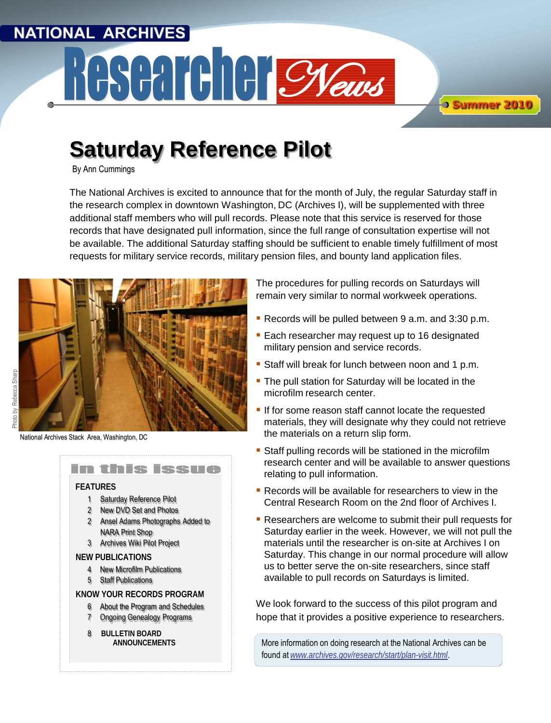# **NATIONAL ARCHIVES** Researcher Cyeau

**Summer 2010**

# **Saturday Reference Pilot**

By Ann Cummings

The National Archives is excited to announce that for the month of July, the regular Saturday staff in the research complex in downtown Washington, DC (Archives I), will be supplemented with three additional staff members who will pull records. Please note that this service is reserved for those records that have designated pull information, since the full range of consultation expertise will not be available. The additional Saturday staffing should be sufficient to enable timely fulfillment of most requests for military service records, military pension files, and bounty land application files.



National Archives Stack Area, Washington, DC



The procedures for pulling records on Saturdays will remain very similar to normal workweek operations.

- Records will be pulled between 9 a.m. and 3:30 p.m.
- **Each researcher may request up to 16 designated** military pension and service records.
- Staff will break for lunch between noon and 1 p.m.
- **The pull station for Saturday will be located in the** microfilm research center.
- If for some reason staff cannot locate the requested materials, they will designate why they could not retrieve the materials on a return slip form.
- Staff pulling records will be stationed in the microfilm research center and will be available to answer questions relating to pull information.
- **Records will be available for researchers to view in the** Central Research Room on the 2nd floor of Archives I.
- **Researchers are welcome to submit their pull requests for** Saturday earlier in the week. However, we will not pull the materials until the researcher is on-site at Archives I on Saturday. This change in our normal procedure will allow us to better serve the on-site researchers, since staff available to pull records on Saturdays is limited.

We look forward to the success of this pilot program and hope that it provides a positive experience to researchers.

More information on doing research at the National Archives can be found at *[www.archives.gov/research/start/plan-visit.html](http://www.archives.gov/research/start/plan-visit.html)*.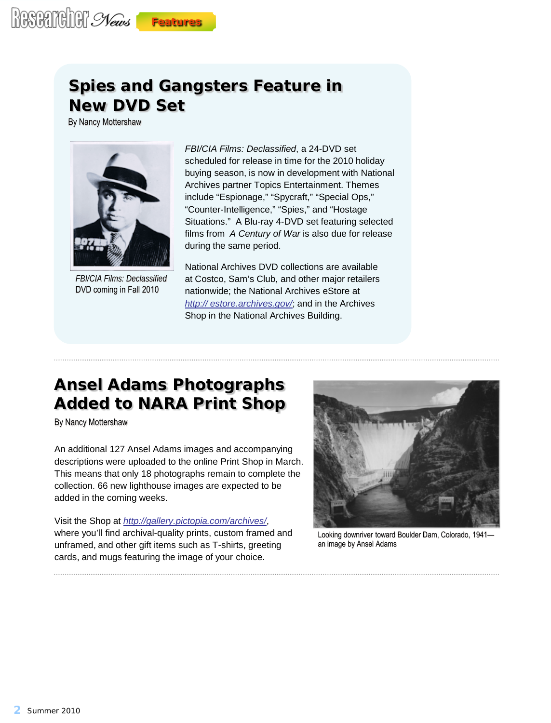# **Spies and Gangsters Feature in New DVD Set**

By Nancy Mottershaw



*FBI/CIA Films: Declassified* DVD coming in Fall 2010

*FBI/CIA Films: Declassified*, a 24-DVD set scheduled for release in time for the 2010 holiday buying season, is now in development with National Archives partner Topics Entertainment. Themes include "Espionage," "Spycraft," "Special Ops," "Counter-Intelligence," "Spies," and "Hostage Situations." A Blu-ray 4-DVD set featuring selected films from *A Century of War* is also due for release during the same period.

National Archives DVD collections are available at Costco, Sam's Club, and other major retailers nationwide; the National Archives eStore at *[http:// estore.archives.gov/](http://estore.archives.gov/)*; and in the Archives Shop in the National Archives Building.

# **Ansel Adams Photographs Added to NARA Print Shop**

By Nancy Mottershaw

An additional 127 Ansel Adams images and accompanying descriptions were uploaded to the online Print Shop in March. This means that only 18 photographs remain to complete the collection. 66 new lighthouse images are expected to be added in the coming weeks.

Visit the Shop at *<http://gallery.pictopia.com/archives/>*, where you'll find archival-quality prints, custom framed and unframed, and other gift items such as T-shirts, greeting cards, and mugs featuring the image of your choice.



Looking downriver toward Boulder Dam, Colorado, 1941 an image by Ansel Adams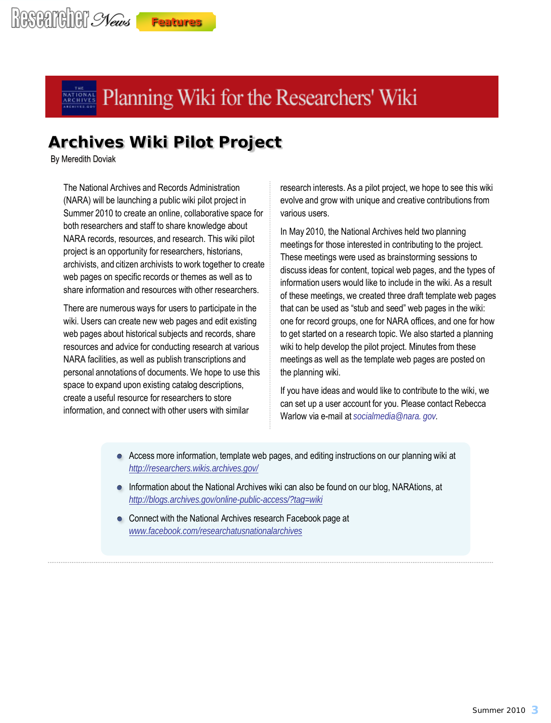# **Archives Wiki Pilot Project**

By Meredith Doviak

The National Archives and Records Administration (NARA) will be launching a public wiki pilot project in Summer 2010 to create an online, collaborative space for both researchers and staff to share knowledge about NARA records, resources, and research. This wiki pilot project is an opportunity for researchers, historians, archivists, and citizen archivists to work together to create web pages on specific records or themes as well as to share information and resources with other researchers.

There are numerous ways for users to participate in the wiki. Users can create new web pages and edit existing web pages about historical subjects and records, share resources and advice for conducting research at various NARA facilities, as well as publish transcriptions and personal annotations of documents. We hope to use this space to expand upon existing catalog descriptions, create a useful resource for researchers to store information, and connect with other users with similar

research interests. As a pilot project, we hope to see this wiki evolve and grow with unique and creative contributions from various users.

In May 2010, the National Archives held two planning meetings for those interested in contributing to the project. These meetings were used as brainstorming sessions to discuss ideas for content, topical web pages, and the types of information users would like to include in the wiki. As a result of these meetings, we created three draft template web pages that can be used as "stub and seed" web pages in the wiki: one for record groups, one for NARA offices, and one for how to get started on a research topic. We also started a planning wiki to help develop the pilot project. Minutes from these meetings as well as the template web pages are posted on the planning wiki.

If you have ideas and would like to contribute to the wiki, we can set up a user account for you. Please contact Rebecca Warlow via e-mail at *[socialmedia@nara. gov.](mailto:socialmedia@nara.gov)*

- Access more information, template web pages, and editing instructions on our planning wiki at *<http://researchers.wikis.archives.gov/>*
- Information about the National Archives wiki can also be found on our blog, NARAtions, at *<http://blogs.archives.gov/online-public-access/?tag=wiki>*
- Connect with the National Archives research Facebook page at *[www.facebook.com/researchatusnationalarchives](http://www.facebook.com/researchatusnationalarchives)*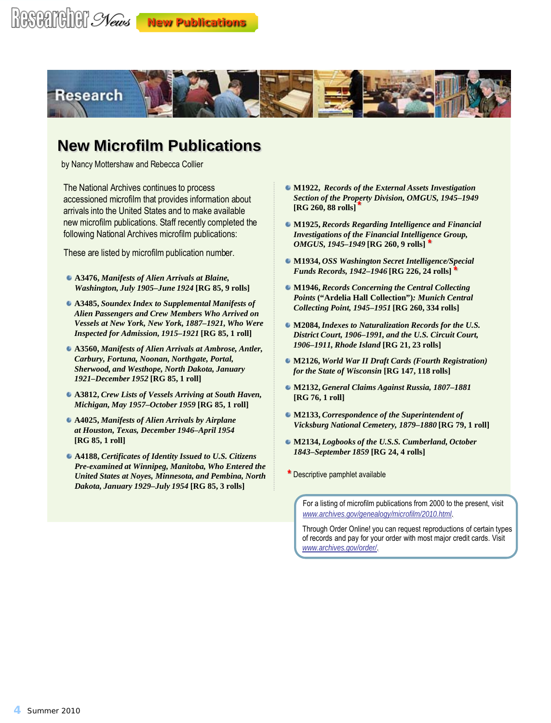

## **New Microfilm Publications**

by Nancy Mottershaw and Rebecca Collier

The National Archives continues to process accessioned microfilm that provides information about arrivals into the United States and to make available new microfilm publications. Staff recently completed the following National Archives microfilm publications:

These are listed by microfilm publication number.

- **A3476,** *Manifests of Alien Arrivals at Blaine, Washington, July 1905–June 1924* **[RG 85, 9 rolls]**
- **A3485,** *Soundex Index to Supplemental Manifests of Alien Passengers and Crew Members Who Arrived on Vessels at New York, New York, 1887–1921, Who Were Inspected for Admission, 1915–1921* **[RG 85, 1 roll]**
- **A3560,** *Manifests of Alien Arrivals at Ambrose, Antler, Carbury, Fortuna, Noonan, Northgate, Portal, Sherwood, and Westhope, North Dakota, January 1921–December 1952* **[RG 85, 1 roll]**
- **A3812,** *Crew Lists of Vessels Arriving at South Haven, Michigan, May 1957–October 1959* **[RG 85, 1 roll]**
- **A4025,** *Manifests of Alien Arrivals by Airplane at Houston, Texas, December 1946–April 1954*  **[RG 85, 1 roll]**
- **A4188,** *Certificates of Identity Issued to U.S. Citizens Pre-examined at Winnipeg, Manitoba, Who Entered the United States at Noyes, Minnesota, and Pembina, North Dakota, January 1929–July 1954* **[RG 85, 3 rolls]**
- **M1922,** *Records of the External Assets Investigation Section of the Property Division, OMGUS, 1945–1949*  **\* [RG 260, 88 rolls]**
- **M1925,** *Records Regarding Intelligence and Financial Investigations of the Financial Intelligence Group, OMGUS, 1945–1949* **[RG 260, 9 rolls] \***
- **M1934,** *OSS Washington Secret Intelligence/Special Funds Records, 1942–1946* **[RG 226, 24 rolls] \***
- **M1946,** *Records Concerning the Central Collecting Points* **("Ardelia Hall Collection")***: Munich Central Collecting Point, 1945–1951* **[RG 260, 334 rolls]**
- **M2084,** *Indexes to Naturalization Records for the U.S. District Court, 1906–1991, and the U.S. Circuit Court, 1906–1911, Rhode Island* **[RG 21, 23 rolls]**
- **M2126,** *World War II Draft Cards (Fourth Registration) for the State of Wisconsin* **[RG 147, 118 rolls]**
- **M2132,** *General Claims Against Russia, 1807–1881*  **[RG 76, 1 roll]**
- **M2133,** *Correspondence of the Superintendent of Vicksburg National Cemetery, 1879–1880* **[RG 79, 1 roll]**
- **M2134,** *Logbooks of the U.S.S. Cumberland, October 1843–September 1859* **[RG 24, 4 rolls]**
- **\*** Descriptive pamphlet available

Through Order Online! you can request reproductions of certain types of records and pay for your order with most major credit cards. Visit *[www.archives.gov/order/](http://www.archives.gov/order/)*.

For a listing of microfilm publications from 2000 to the present, visit *[www.archives.gov/genealogy/microfilm/2010.html](http://www.archives.gov/genealogy/microfilm/2010.html)*.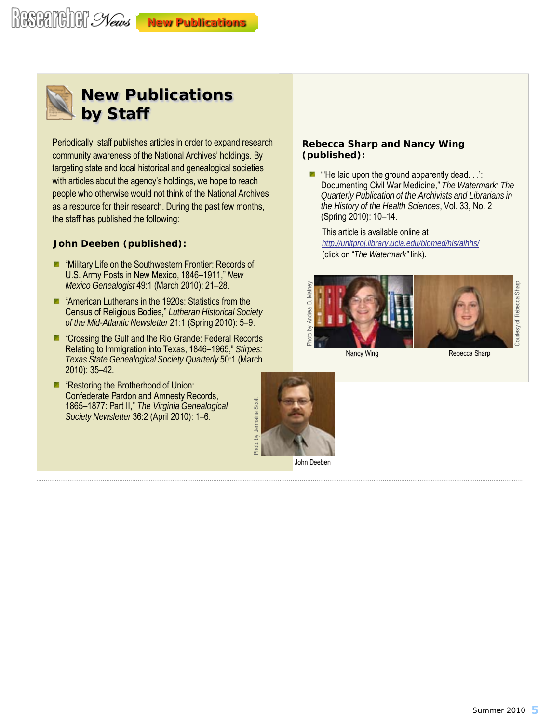# **New Publications**



### **New Publications by Staff**

Periodically, staff publishes articles in order to expand research community awareness of the National Archives' holdings. By targeting state and local historical and genealogical societies with articles about the agency's holdings, we hope to reach people who otherwise would not think of the National Archives as a resource for their research. During the past few months, the staff has published the following:

#### **John Deeben (published):**

- **Military Life on the Southwestern Frontier: Records of** U.S. Army Posts in New Mexico, 1846–1911," *New Mexico Genealogist* 49:1 (March 2010): 21–28.
- **American Lutherans in the 1920s: Statistics from the** Census of Religious Bodies," *Lutheran Historical Society of the Mid-Atlantic Newsletter* 21:1 (Spring 2010): 5–9.
- **E** "Crossing the Gulf and the Rio Grande: Federal Records" Relating to Immigration into Texas, 1846–1965," *Stirpes: Texas State Genealogical Society Quarterly* 50:1 (March 2010): 35–42.
- **E** "Restoring the Brotherhood of Union: Confederate Pardon and Amnesty Records, 1865–1877: Part II," *The Virginia Genealogical Society Newsletter* 36:2 (April 2010): 1–6.

#### **Rebecca Sharp and Nancy Wing (published):**

 $\blacksquare$  "He laid upon the ground apparently dead. . .': Documenting Civil War Medicine," *The Watermark: The Quarterly Publication of the Archivists and Librarians in the History of the Health Sciences*, Vol. 33, No. 2 (Spring 2010): 10–14.

This article is available online at *http://unitproj.li[brary.ucla.edu/biomed/his/alhhs/](http://unitproj.library.ucla.edu/biomed/his/alhhs/)*  (click on "*The Watermark"* link).



Nancy Wing Rebecca Sharp



John Deeben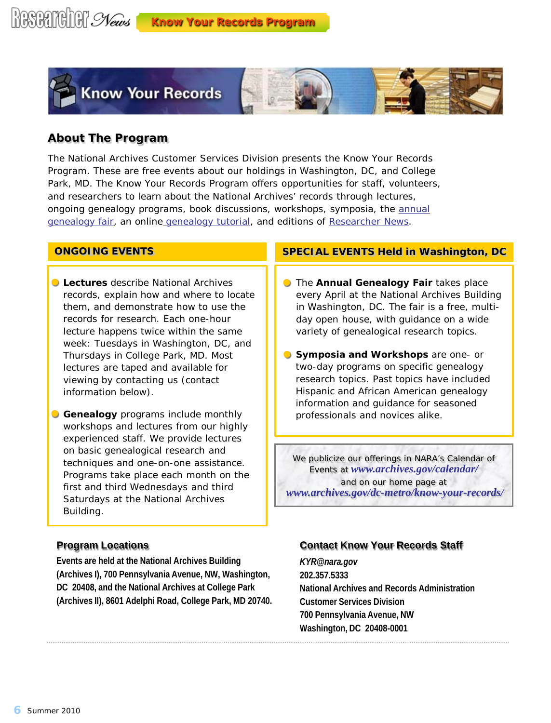

#### **About The Program**

The National Archives Customer Services Division presents the Know Your Records Program. These are free events about our holdings in Washington, DC, and College Park, MD. The Know Your Records Program offers opportunities for staff, volunteers, and researchers to learn about the National Archives' records through lectures, ongoing genealogy programs, book discussions, workshops, symposia, the annual [genealogy fair, a](http://www.archives.gov/dc-metro/know-your-records/genealogy-fair/)n online [genealogy tutorial, a](http://www.archives.gov/genealogy/tutorial/beginning-research-2008.ppt)nd editions of *[Researcher News](http://www.archives.gov/dc-metro/newsletter/)*.

#### **ONGOING EVENTS**

- **Lectures** describe National Archives records, explain how and where to locate them, and demonstrate how to use the records for research. Each one-hour lecture happens twice within the same week: Tuesdays in Washington, DC, and Thursdays in College Park, MD. Most lectures are taped and available for viewing by contacting us (contact information below).
- **Genealogy** programs include monthly workshops and lectures from our highly experienced staff. We provide lectures on basic genealogical research and techniques and one-on-one assistance. Programs take place each month on the first and third Wednesdays and third Saturdays at the National Archives Building.

#### **Program Locations**

**Events are held at the National Archives Building (Archives I), 700 Pennsylvania Avenue, NW, Washington, DC 20408, and the National Archives at College Park (Archives II), 8601 Adelphi Road, College Park, MD 20740.**

#### **SPECIAL EVENTS Held in Washington, DC**

- **The Annual Genealogy Fair takes place** every April at the National Archives Building in Washington, DC. The fair is a free, multiday open house, with guidance on a wide variety of genealogical research topics.
- **Symposia and Workshops** are one- or two-day programs on specific genealogy research topics. Past topics have included Hispanic and African American genealogy information and guidance for seasoned professionals and novices alike.

We publicize our offerings in NARA's *Calendar of Events* at *[www.archives.gov/calendar](http://www.archives.gov/calendar/)/* and on our home page at *w[ww.archives.gov/dc-metro/know-your-records/](http://www.archives.gov/dc-metro/know-your-records/)*

#### **Contact Know Your Records Staff**

*[KYR@nara.gov](mailto:KYR@nara.gov)* **202.357.5333 National Archives and Records Administration Customer Services Division 700 Pennsylvania Avenue, NW Washington, DC 20408-0001**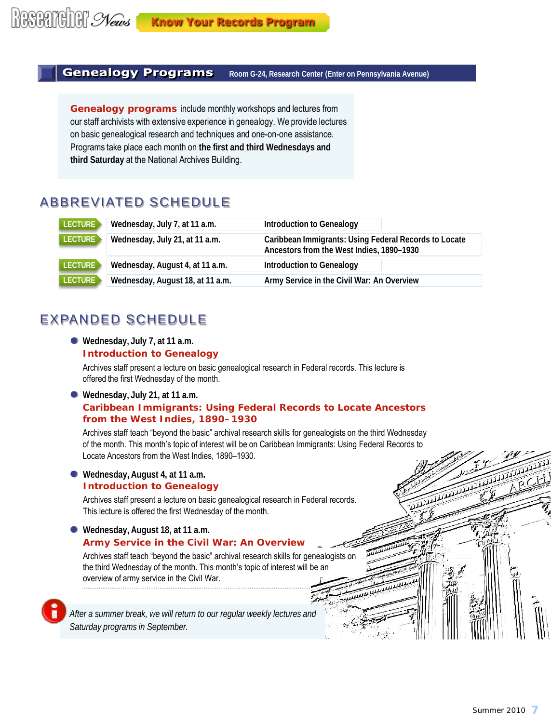#### **Genealogy Programs Room G-24, Research Center (Enter on Pennsylvania Avenue)**

**Genealogy programs** include monthly workshops and lectures from our staff archivists with extensive experience in genealogy. We provide lectures on basic genealogical research and techniques and one-on-one assistance. Programs take place each month on **the first and third Wednesdays and third Saturday** at the National Archives Building.

### ABBREVIATED SCHEDULE

| LECTURE > | Wednesday, July 7, at 11 a.m.    | <b>Introduction to Genealogy</b>                                                                   |
|-----------|----------------------------------|----------------------------------------------------------------------------------------------------|
| LECTURE   | Wednesday, July 21, at 11 a.m.   | Caribbean Immigrants: Using Federal Records to Locate<br>Ancestors from the West Indies, 1890-1930 |
| LECTURE   | Wednesday, August 4, at 11 a.m.  | <b>Introduction to Genealogy</b>                                                                   |
| LECTURE   | Wednesday, August 18, at 11 a.m. | Army Service in the Civil War: An Overview                                                         |

### EXPANDED SCHEDULE

**Wednesday, July 7, at 11 a.m. Introduction to Genealogy** 

Archives staff present a lecture on basic genealogical research in Federal records. This lecture is offered the first Wednesday of the month.

**Wednesday, July 21, at 11 a.m.** 

#### **Caribbean Immigrants: Using Federal Records to Locate Ancestors from the West Indies, 1890–1930**

Archives staff teach "beyond the basic" archival research skills for genealogists on the third Wednesday of the month. This month's topic of interest will be on Caribbean Immigrants: Using Federal Records to Locate Ancestors from the West Indies, 1890–1930.

لتشييخ

للسكسكسكسك

#### **Wednesday, August 4, at 11 a.m. Introduction to Genealogy**

Archives staff present a lecture on basic genealogical research in Federal records. This lecture is offered the first Wednesday of the month.

#### **Wednesday, August 18, at 11 a.m. Army Service in the Civil War: An Overview**

Archives staff teach "beyond the basic" archival research skills for genealogists on the third Wednesday of the month. This month's topic of interest will be an overview of army service in the Civil War.

*After a summer break, we will return to our regular weekly lectures and Saturday programs in September.*